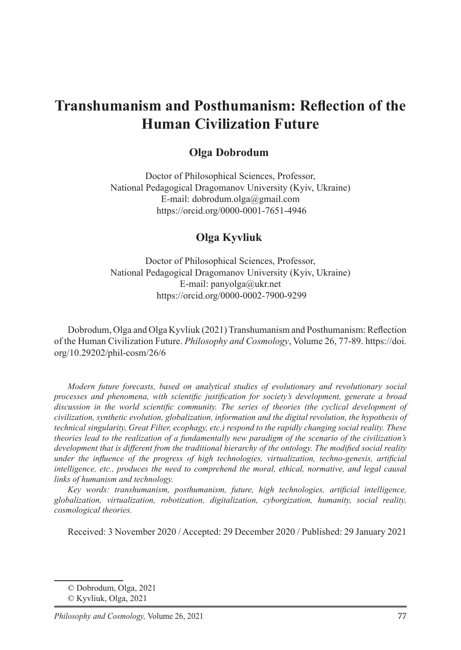# **Transhumanism and Posthumanism: Reflection of the Human Civilization Future**

### **Olga Dobrodum**

Doctor of Philosophical Sciences, Professor, National Pedagogical Dragomanov University (Kyiv, Ukraine) E-mail: dobrodum.olga@gmail.com https://orcid.org/0000-0001-7651-4946

### **Olga Kyvliuk**<sup>2</sup>

Doctor of Philosophical Sciences, Professor, National Pedagogical Dragomanov University (Kyiv, Ukraine) E-mail: panyolga@ukr.net https://orcid.org/0000-0002-7900-9299

Dobrodum, Olga and Olga Kyvliuk (2021) Transhumanism and Posthumanism: Reflection of the Human Civilization Future. *Philosophy and Cosmology*, Volume 26, 77-89. https://doi. org/10.29202/phil-cosm/26/6

*Modern future forecasts, based on analytical studies of evolutionary and revolutionary social processes and phenomena, with scientific justification for society's development, generate a broad discussion in the world scientific community. The series of theories (the cyclical development of civilization, synthetic evolution, globalization, information and the digital revolution, the hypothesis of technical singularity, Great Filter, ecophagy, etc.) respond to the rapidly changing social reality. These theories lead to the realization of a fundamentally new paradigm of the scenario of the civilization's development that is different from the traditional hierarchy of the ontology. The modified social reality under the influence of the progress of high technologies, virtualization, techno-genesis, artificial intelligence, etc., produces the need to comprehend the moral, ethical, normative, and legal causal links of humanism and technology.*

*Key words: transhumanism, posthumanism, future, high technologies, artificial intelligence, globalization, virtualization, robotization, digitalization, cyborgization, humanity, social reality, cosmological theories.*

Received: 3 November 2020 / Accepted: 29 December 2020 / Published: 29 January 2021

<sup>©</sup> Dobrodum, Olga, 2021

<sup>©</sup> Kyvliuk, Olga, 2021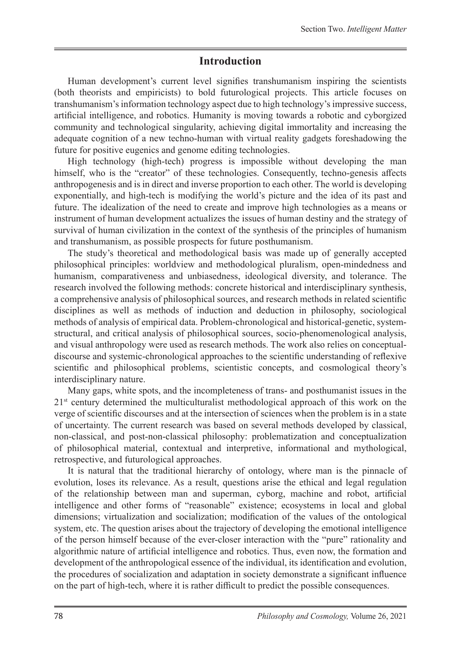### **Introduction**

Human development's current level signifies transhumanism inspiring the scientists (both theorists and empiricists) to bold futurological projects. This article focuses on transhumanism's information technology aspect due to high technology's impressive success, artificial intelligence, and robotics. Humanity is moving towards a robotic and cyborgized community and technological singularity, achieving digital immortality and increasing the adequate cognition of a new techno-human with virtual reality gadgets foreshadowing the future for positive eugenics and genome editing technologies.

High technology (high-tech) progress is impossible without developing the man himself, who is the "creator" of these technologies. Consequently, techno-genesis affects anthropogenesis and is in direct and inverse proportion to each other. The world is developing exponentially, and high-tech is modifying the world's picture and the idea of its past and future. The idealization of the need to create and improve high technologies as a means or instrument of human development actualizes the issues of human destiny and the strategy of survival of human civilization in the context of the synthesis of the principles of humanism and transhumanism, as possible prospects for future posthumanism.

The study's theoretical and methodological basis was made up of generally accepted philosophical principles: worldview and methodological pluralism, open-mindedness and humanism, comparativeness and unbiasedness, ideological diversity, and tolerance. The research involved the following methods: concrete historical and interdisciplinary synthesis, a comprehensive analysis of philosophical sources, and research methods in related scientific disciplines as well as methods of induction and deduction in philosophy, sociological methods of analysis of empirical data. Problem-chronological and historical-genetic, systemstructural, and critical analysis of philosophical sources, socio-phenomenological analysis, and visual anthropology were used as research methods. The work also relies on conceptualdiscourse and systemic-chronological approaches to the scientific understanding of reflexive scientific and philosophical problems, scientistic concepts, and cosmological theory's interdisciplinary nature.

Many gaps, white spots, and the incompleteness of trans- and posthumanist issues in the  $21<sup>st</sup>$  century determined the multiculturalist methodological approach of this work on the verge of scientific discourses and at the intersection of sciences when the problem is in a state of uncertainty. The current research was based on several methods developed by classical, non-classical, and post-non-classical philosophy: problematization and conceptualization of philosophical material, contextual and interpretive, informational and mythological, retrospective, and futurological approaches.

It is natural that the traditional hierarchy of ontology, where man is the pinnacle of evolution, loses its relevance. As a result, questions arise the ethical and legal regulation of the relationship between man and superman, cyborg, machine and robot, artificial intelligence and other forms of "reasonable" existence; ecosystems in local and global dimensions; virtualization and socialization; modification of the values of the ontological system, etc. The question arises about the trajectory of developing the emotional intelligence of the person himself because of the ever-closer interaction with the "pure" rationality and algorithmic nature of artificial intelligence and robotics. Thus, even now, the formation and development of the anthropological essence of the individual, its identification and evolution, the procedures of socialization and adaptation in society demonstrate a significant influence on the part of high-tech, where it is rather difficult to predict the possible consequences.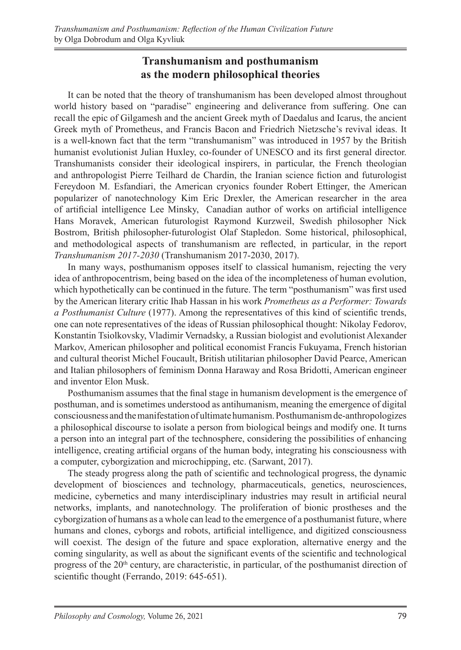# **Transhumanism and posthumanism as the modern philosophical theories**

It can be noted that the theory of transhumanism has been developed almost throughout world history based on "paradise" engineering and deliverance from suffering. One can recall the epic of Gilgamesh and the ancient Greek myth of Daedalus and Icarus, the ancient Greek myth of Prometheus, and Francis Bacon and Friedrich Nietzsche's revival ideas. It is a well-known fact that the term "transhumanism" was introduced in 1957 by the British humanist evolutionist Julian Huxley, co-founder of UNESCO and its first general director. Transhumanists consider their ideological inspirers, in particular, the French theologian and anthropologist Pierre Teilhard de Chardin, the Iranian science fiction and futurologist Fereydoon M. Esfandiari, the American cryonics founder Robert Ettinger, the American popularizer of nanotechnology Kim Eric Drexler, the American researcher in the area of artificial intelligence Lee Minsky, Canadian author of works on artificial intelligence Hans Moravek, American futurologist Raymond Kurzweil, Swedish philosopher Nick Bostrom, British philosopher-futurologist Olaf Stapledon. Some historical, philosophical, and methodological aspects of transhumanism are reflected, in particular, in the report *Transhumanism 2017-2030* (Transhumanism 2017-2030, 2017).

In many ways, posthumanism opposes itself to classical humanism, rejecting the very idea of anthropocentrism, being based on the idea of the incompleteness of human evolution, which hypothetically can be continued in the future. The term "posthumanism" was first used by the American literary critic Ihab Hassan in his work *Prometheus as a Performer: Towards a Posthumanist Culture* (1977). Among the representatives of this kind of scientific trends, one can note representatives of the ideas of Russian philosophical thought: Nikolay Fedorov, Konstantin Tsiolkovsky, Vladimir Vernadsky, a Russian biologist and evolutionist Alexander Markov, American philosopher and political economist Francis Fukuyama, French historian and cultural theorist Michel Foucault, British utilitarian philosopher David Pearce, American and Italian philosophers of feminism Donna Haraway and Rosa Bridotti, American engineer and inventor Elon Musk.

Posthumanism assumes that the final stage in humanism development is the emergence of posthuman, and is sometimes understood as antihumanism, meaning the emergence of digital consciousness and the manifestation of ultimate humanism. Posthumanism de-anthropologizes a philosophical discourse to isolate a person from biological beings and modify one. It turns a person into an integral part of the technosphere, considering the possibilities of enhancing intelligence, creating artificial organs of the human body, integrating his consciousness with a computer, cyborgization and microchipping, etc. (Sarwant, 2017).

The steady progress along the path of scientific and technological progress, the dynamic development of biosciences and technology, pharmaceuticals, genetics, neurosciences, medicine, cybernetics and many interdisciplinary industries may result in artificial neural networks, implants, and nanotechnology. The proliferation of bionic prostheses and the cyborgization of humans as a whole can lead to the emergence of a posthumanist future, where humans and clones, cyborgs and robots, artificial intelligence, and digitized consciousness will coexist. The design of the future and space exploration, alternative energy and the coming singularity, as well as about the significant events of the scientific and technological progress of the 20<sup>th</sup> century, are characteristic, in particular, of the posthumanist direction of scientific thought (Ferrando, 2019: 645-651).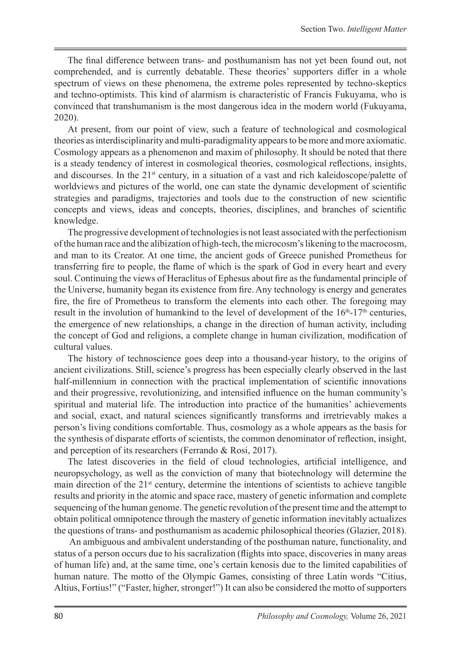The final difference between trans- and posthumanism has not yet been found out, not comprehended, and is currently debatable. These theories' supporters differ in a whole spectrum of views on these phenomena, the extreme poles represented by techno-skeptics and techno-optimists. This kind of alarmism is characteristic of Francis Fukuyama, who is convinced that transhumanism is the most dangerous idea in the modern world (Fukuyama, 2020).

At present, from our point of view, such a feature of technological and cosmological theories as interdisciplinarity and multi-paradigmality appears to be more and more axiomatic. Cosmology appears as a phenomenon and maxim of philosophy. It should be noted that there is a steady tendency of interest in cosmological theories, cosmological reflections, insights, and discourses. In the  $21<sup>st</sup>$  century, in a situation of a vast and rich kaleidoscope/palette of worldviews and pictures of the world, one can state the dynamic development of scientific strategies and paradigms, trajectories and tools due to the construction of new scientific concepts and views, ideas and concepts, theories, disciplines, and branches of scientific knowledge.

The progressive development of technologies is not least associated with the perfectionism of the human race and the alibization of high-tech, the microcosm's likening to the macrocosm, and man to its Creator. At one time, the ancient gods of Greece punished Prometheus for transferring fire to people, the flame of which is the spark of God in every heart and every soul. Continuing the views of Heraclitus of Ephesus about fire as the fundamental principle of the Universe, humanity began its existence from fire. Any technology is energy and generates fire, the fire of Prometheus to transform the elements into each other. The foregoing may result in the involution of humankind to the level of development of the  $16<sup>th</sup>$ -17<sup>th</sup> centuries, the emergence of new relationships, a change in the direction of human activity, including the concept of God and religions, a complete change in human civilization, modification of cultural values.

The history of technoscience goes deep into a thousand-year history, to the origins of ancient civilizations. Still, science's progress has been especially clearly observed in the last half-millennium in connection with the practical implementation of scientific innovations and their progressive, revolutionizing, and intensified influence on the human community's spiritual and material life. The introduction into practice of the humanities' achievements and social, exact, and natural sciences significantly transforms and irretrievably makes a person's living conditions comfortable. Thus, cosmology as a whole appears as the basis for the synthesis of disparate efforts of scientists, the common denominator of reflection, insight, and perception of its researchers (Ferrando & Rosi, 2017).

The latest discoveries in the field of cloud technologies, artificial intelligence, and neuropsychology, as well as the conviction of many that biotechnology will determine the main direction of the  $21<sup>st</sup>$  century, determine the intentions of scientists to achieve tangible results and priority in the atomic and space race, mastery of genetic information and complete sequencing of the human genome. The genetic revolution of the present time and the attempt to obtain political omnipotence through the mastery of genetic information inevitably actualizes the questions of trans- and posthumanism as academic philosophical theories (Glazier, 2018).

 An ambiguous and ambivalent understanding of the posthuman nature, functionality, and status of a person occurs due to his sacralization (flights into space, discoveries in many areas of human life) and, at the same time, one's certain kenosis due to the limited capabilities of human nature. The motto of the Olympic Games, consisting of three Latin words "Citius, Altius, Fortius!" ("Faster, higher, stronger!") It can also be considered the motto of supporters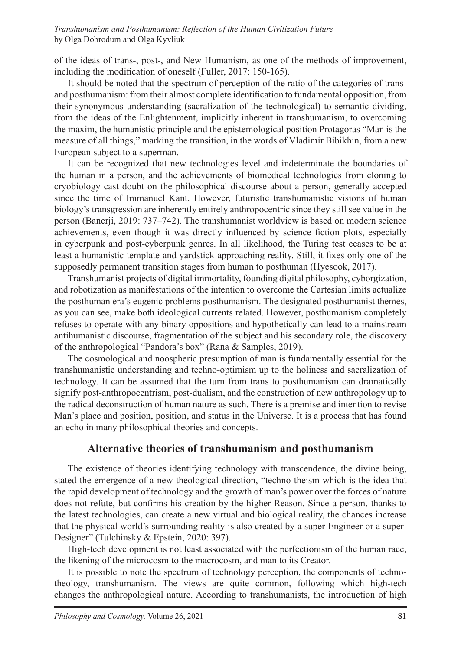of the ideas of trans-, post-, and New Humanism, as one of the methods of improvement, including the modification of oneself (Fuller, 2017: 150-165).

It should be noted that the spectrum of perception of the ratio of the categories of transand posthumanism: from their almost complete identification to fundamental opposition, from their synonymous understanding (sacralization of the technological) to semantic dividing, from the ideas of the Enlightenment, implicitly inherent in transhumanism, to overcoming the maxim, the humanistic principle and the epistemological position Protagoras "Man is the measure of all things," marking the transition, in the words of Vladimir Bibikhin, from a new European subject to a superman.

It can be recognized that new technologies level and indeterminate the boundaries of the human in a person, and the achievements of biomedical technologies from cloning to cryobiology cast doubt on the philosophical discourse about a person, generally accepted since the time of Immanuel Kant. However, futuristic transhumanistic visions of human biology's transgression are inherently entirely anthropocentric since they still see value in the person (Banerji, 2019: 737–742). The transhumanist worldview is based on modern science achievements, even though it was directly influenced by science fiction plots, especially in cyberpunk and post-cyberpunk genres. In all likelihood, the Turing test ceases to be at least a humanistic template and yardstick approaching reality. Still, it fixes only one of the supposedly permanent transition stages from human to posthuman (Hyesook, 2017).

Transhumanist projects of digital immortality, founding digital philosophy, cyborgization, and robotization as manifestations of the intention to overcome the Cartesian limits actualize the posthuman era's eugenic problems posthumanism. The designated posthumanist themes, as you can see, make both ideological currents related. However, posthumanism completely refuses to operate with any binary oppositions and hypothetically can lead to a mainstream antihumanistic discourse, fragmentation of the subject and his secondary role, the discovery of the anthropological "Pandora's box" (Rana & Samples, 2019).

The cosmological and noospheric presumption of man is fundamentally essential for the transhumanistic understanding and techno-optimism up to the holiness and sacralization of technology. It can be assumed that the turn from trans to posthumanism can dramatically signify post-anthropocentrism, post-dualism, and the construction of new anthropology up to the radical deconstruction of human nature as such. There is a premise and intention to revise Man's place and position, position, and status in the Universe. It is a process that has found an echo in many philosophical theories and concepts.

## **Alternative theories of transhumanism and posthumanism**

The existence of theories identifying technology with transcendence, the divine being, stated the emergence of a new theological direction, "techno-theism which is the idea that the rapid development of technology and the growth of man's power over the forces of nature does not refute, but confirms his creation by the higher Reason. Since a person, thanks to the latest technologies, can create a new virtual and biological reality, the chances increase that the physical world's surrounding reality is also created by a super-Engineer or a super-Designer" (Tulchinsky & Epstein, 2020: 397).

High-tech development is not least associated with the perfectionism of the human race, the likening of the microcosm to the macrocosm, and man to its Creator.

It is possible to note the spectrum of technology perception, the components of technotheology, transhumanism. The views are quite common, following which high-tech changes the anthropological nature. According to transhumanists, the introduction of high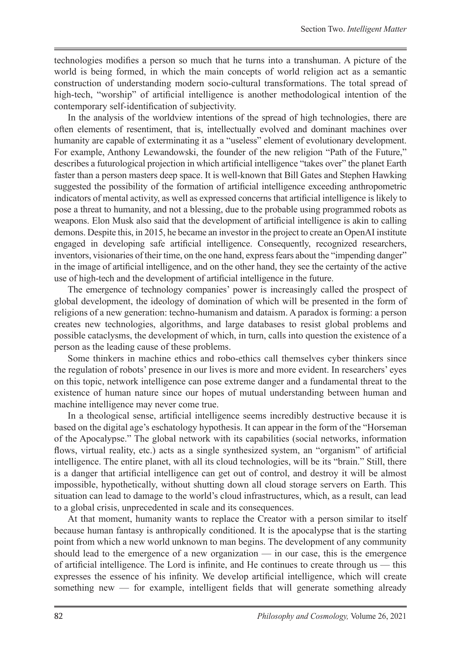technologies modifies a person so much that he turns into a transhuman. A picture of the world is being formed, in which the main concepts of world religion act as a semantic construction of understanding modern socio-cultural transformations. The total spread of high-tech, "worship" of artificial intelligence is another methodological intention of the contemporary self-identification of subjectivity.

In the analysis of the worldview intentions of the spread of high technologies, there are often elements of resentiment, that is, intellectually evolved and dominant machines over humanity are capable of exterminating it as a "useless" element of evolutionary development. For example, Anthony Lewandowski, the founder of the new religion "Path of the Future," describes a futurological projection in which artificial intelligence "takes over" the planet Earth faster than a person masters deep space. It is well-known that Bill Gates and Stephen Hawking suggested the possibility of the formation of artificial intelligence exceeding anthropometric indicators of mental activity, as well as expressed concerns that artificial intelligence is likely to pose a threat to humanity, and not a blessing, due to the probable using programmed robots as weapons. Elon Musk also said that the development of artificial intelligence is akin to calling demons. Despite this, in 2015, he became an investor in the project to create an OpenAI institute engaged in developing safe artificial intelligence. Consequently, recognized researchers, inventors, visionaries of their time, on the one hand, express fears about the "impending danger" in the image of artificial intelligence, and on the other hand, they see the certainty of the active use of high-tech and the development of artificial intelligence in the future.

The emergence of technology companies' power is increasingly called the prospect of global development, the ideology of domination of which will be presented in the form of religions of a new generation: techno-humanism and dataism. A paradox is forming: a person creates new technologies, algorithms, and large databases to resist global problems and possible cataclysms, the development of which, in turn, calls into question the existence of a person as the leading cause of these problems.

Some thinkers in machine ethics and robo-ethics call themselves cyber thinkers since the regulation of robots' presence in our lives is more and more evident. In researchers' eyes on this topic, network intelligence can pose extreme danger and a fundamental threat to the existence of human nature since our hopes of mutual understanding between human and machine intelligence may never come true.

In a theological sense, artificial intelligence seems incredibly destructive because it is based on the digital age's eschatology hypothesis. It can appear in the form of the "Horseman of the Apocalypse." The global network with its capabilities (social networks, information flows, virtual reality, etc.) acts as a single synthesized system, an "organism" of artificial intelligence. The entire planet, with all its cloud technologies, will be its "brain." Still, there is a danger that artificial intelligence can get out of control, and destroy it will be almost impossible, hypothetically, without shutting down all cloud storage servers on Earth. This situation can lead to damage to the world's cloud infrastructures, which, as a result, can lead to a global crisis, unprecedented in scale and its consequences.

At that moment, humanity wants to replace the Creator with a person similar to itself because human fantasy is anthropically conditioned. It is the apocalypse that is the starting point from which a new world unknown to man begins. The development of any community should lead to the emergence of a new organization — in our case, this is the emergence of artificial intelligence. The Lord is infinite, and He continues to create through us — this expresses the essence of his infinity. We develop artificial intelligence, which will create something new — for example, intelligent fields that will generate something already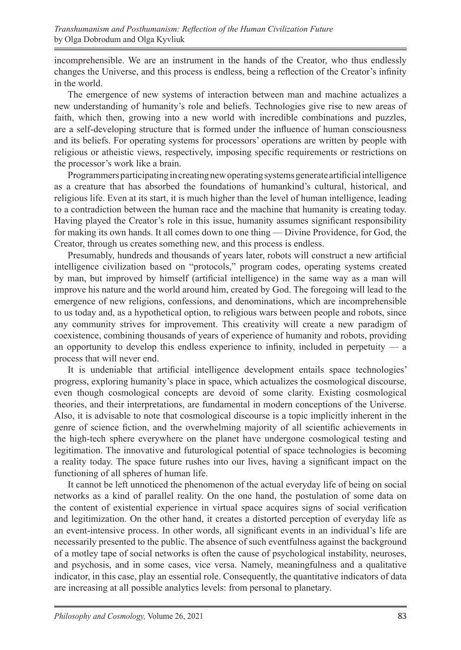incomprehensible. We are an instrument in the hands of the Creator, who thus endlessly changes the Universe, and this process is endless, being a reflection of the Creator's infinity in the world.

The emergence of new systems of interaction between man and machine actualizes a new understanding of humanity's role and beliefs. Technologies give rise to new areas of faith, which then, growing into a new world with incredible combinations and puzzles, are a self-developing structure that is formed under the influence of human consciousness and its beliefs. For operating systems for processors' operations are written by people with religious or atheistic views, respectively, imposing specific requirements or restrictions on the processor's work like a brain.

Programmers participating in creating new operating systems generate artificial intelligence as a creature that has absorbed the foundations of humankind's cultural, historical, and religious life. Even at its start, it is much higher than the level of human intelligence, leading to a contradiction between the human race and the machine that humanity is creating today. Having played the Creator's role in this issue, humanity assumes significant responsibility for making its own hands. It all comes down to one thing — Divine Providence, for God, the Creator, through us creates something new, and this process is endless.

Presumably, hundreds and thousands of years later, robots will construct a new artificial intelligence civilization based on "protocols," program codes, operating systems created by man, but improved by himself (artificial intelligence) in the same way as a man will improve his nature and the world around him, created by God. The foregoing will lead to the emergence of new religions, confessions, and denominations, which are incomprehensible to us today and, as a hypothetical option, to religious wars between people and robots, since any community strives for improvement. This creativity will create a new paradigm of coexistence, combining thousands of years of experience of humanity and robots, providing an opportunity to develop this endless experience to infinity, included in perpetuity  $-$  a process that will never end.

It is undeniable that artificial intelligence development entails space technologies' progress, exploring humanity's place in space, which actualizes the cosmological discourse, even though cosmological concepts are devoid of some clarity. Existing cosmological theories, and their interpretations, are fundamental in modern conceptions of the Universe. Also, it is advisable to note that cosmological discourse is a topic implicitly inherent in the genre of science fiction, and the overwhelming majority of all scientific achievements in the high-tech sphere everywhere on the planet have undergone cosmological testing and legitimation. The innovative and futurological potential of space technologies is becoming a reality today. The space future rushes into our lives, having a significant impact on the functioning of all spheres of human life.

It cannot be left unnoticed the phenomenon of the actual everyday life of being on social networks as a kind of parallel reality. On the one hand, the postulation of some data on the content of existential experience in virtual space acquires signs of social verification and legitimization. On the other hand, it creates a distorted perception of everyday life as an event-intensive process. In other words, all significant events in an individual's life are necessarily presented to the public. The absence of such eventfulness against the background of a motley tape of social networks is often the cause of psychological instability, neuroses, and psychosis, and in some cases, vice versa. Namely, meaningfulness and a qualitative indicator, in this case, play an essential role. Consequently, the quantitative indicators of data are increasing at all possible analytics levels: from personal to planetary.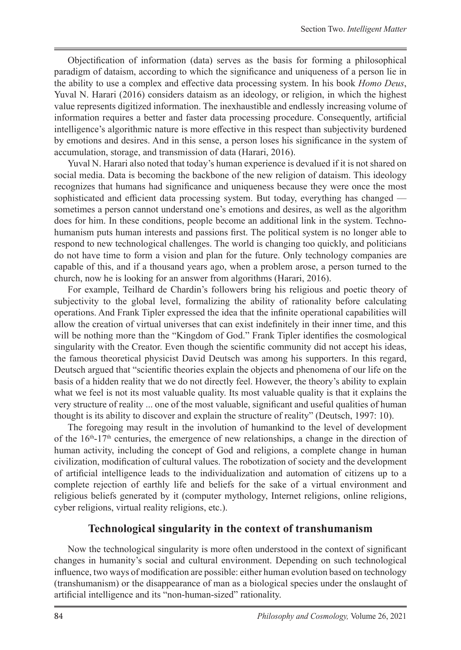Objectification of information (data) serves as the basis for forming a philosophical paradigm of dataism, according to which the significance and uniqueness of a person lie in the ability to use a complex and effective data processing system. In his book *Homo Deus*, Yuval N. Harari (2016) considers dataism as an ideology, or religion, in which the highest value represents digitized information. The inexhaustible and endlessly increasing volume of information requires a better and faster data processing procedure. Consequently, artificial intelligence's algorithmic nature is more effective in this respect than subjectivity burdened by emotions and desires. And in this sense, a person loses his significance in the system of accumulation, storage, and transmission of data (Harari, 2016).

Yuval N. Harari also noted that today's human experience is devalued if it is not shared on social media. Data is becoming the backbone of the new religion of dataism. This ideology recognizes that humans had significance and uniqueness because they were once the most sophisticated and efficient data processing system. But today, everything has changed sometimes a person cannot understand one's emotions and desires, as well as the algorithm does for him. In these conditions, people become an additional link in the system. Technohumanism puts human interests and passions first. The political system is no longer able to respond to new technological challenges. The world is changing too quickly, and politicians do not have time to form a vision and plan for the future. Only technology companies are capable of this, and if a thousand years ago, when a problem arose, a person turned to the church, now he is looking for an answer from algorithms (Harari, 2016).

For example, Teilhard de Chardin's followers bring his religious and poetic theory of subjectivity to the global level, formalizing the ability of rationality before calculating operations. And Frank Tipler expressed the idea that the infinite operational capabilities will allow the creation of virtual universes that can exist indefinitely in their inner time, and this will be nothing more than the "Kingdom of God." Frank Tipler identifies the cosmological singularity with the Creator. Even though the scientific community did not accept his ideas, the famous theoretical physicist David Deutsch was among his supporters. In this regard, Deutsch argued that "scientific theories explain the objects and phenomena of our life on the basis of a hidden reality that we do not directly feel. However, the theory's ability to explain what we feel is not its most valuable quality. Its most valuable quality is that it explains the very structure of reality ... one of the most valuable, significant and useful qualities of human thought is its ability to discover and explain the structure of reality" (Deutsch, 1997: 10).

The foregoing may result in the involution of humankind to the level of development of the  $16<sup>th</sup>$ -17<sup>th</sup> centuries, the emergence of new relationships, a change in the direction of human activity, including the concept of God and religions, a complete change in human civilization, modification of cultural values. The robotization of society and the development of artificial intelligence leads to the individualization and automation of citizens up to a complete rejection of earthly life and beliefs for the sake of a virtual environment and religious beliefs generated by it (computer mythology, Internet religions, online religions, cyber religions, virtual reality religions, etc.).

### **Technological singularity in the context of transhumanism**

Now the technological singularity is more often understood in the context of significant changes in humanity's social and cultural environment. Depending on such technological influence, two ways of modification are possible: either human evolution based on technology (transhumanism) or the disappearance of man as a biological species under the onslaught of artificial intelligence and its "non-human-sized" rationality.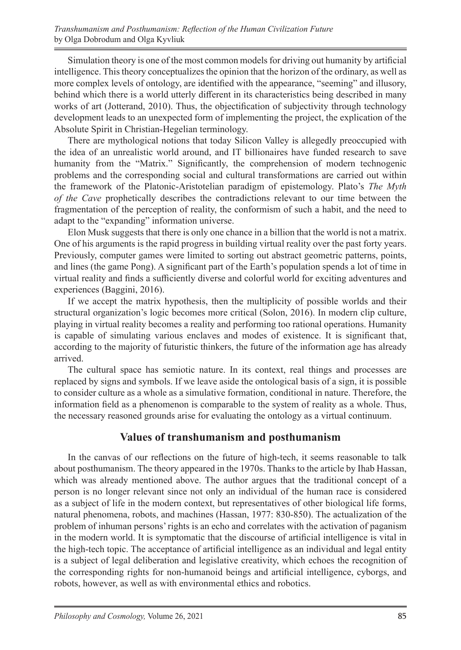Simulation theory is one of the most common models for driving out humanity by artificial intelligence. This theory conceptualizes the opinion that the horizon of the ordinary, as well as more complex levels of ontology, are identified with the appearance, "seeming" and illusory, behind which there is a world utterly different in its characteristics being described in many works of art (Jotterand, 2010). Thus, the objectification of subjectivity through technology development leads to an unexpected form of implementing the project, the explication of the Absolute Spirit in Christian-Hegelian terminology.

There are mythological notions that today Silicon Valley is allegedly preoccupied with the idea of an unrealistic world around, and IT billionaires have funded research to save humanity from the "Matrix." Significantly, the comprehension of modern technogenic problems and the corresponding social and cultural transformations are carried out within the framework of the Platonic-Aristotelian paradigm of epistemology. Plato's *The Myth of the Cave* prophetically describes the contradictions relevant to our time between the fragmentation of the perception of reality, the conformism of such a habit, and the need to adapt to the "expanding" information universe.

Elon Musk suggests that there is only one chance in a billion that the world is not a matrix. One of his arguments is the rapid progress in building virtual reality over the past forty years. Previously, computer games were limited to sorting out abstract geometric patterns, points, and lines (the game Pong). A significant part of the Earth's population spends a lot of time in virtual reality and finds a sufficiently diverse and colorful world for exciting adventures and experiences (Baggini, 2016).

If we accept the matrix hypothesis, then the multiplicity of possible worlds and their structural organization's logic becomes more critical (Solon, 2016). In modern clip culture, playing in virtual reality becomes a reality and performing too rational operations. Humanity is capable of simulating various enclaves and modes of existence. It is significant that, according to the majority of futuristic thinkers, the future of the information age has already arrived.

The cultural space has semiotic nature. In its context, real things and processes are replaced by signs and symbols. If we leave aside the ontological basis of a sign, it is possible to consider culture as a whole as a simulative formation, conditional in nature. Therefore, the information field as a phenomenon is comparable to the system of reality as a whole. Thus, the necessary reasoned grounds arise for evaluating the ontology as a virtual continuum.

## **Values of transhumanism and posthumanism**

In the canvas of our reflections on the future of high-tech, it seems reasonable to talk about posthumanism. The theory appeared in the 1970s. Thanks to the article by Ihab Hassan, which was already mentioned above. The author argues that the traditional concept of a person is no longer relevant since not only an individual of the human race is considered as a subject of life in the modern context, but representatives of other biological life forms, natural phenomena, robots, and machines (Hassan, 1977: 830-850). The actualization of the problem of inhuman persons' rights is an echo and correlates with the activation of paganism in the modern world. It is symptomatic that the discourse of artificial intelligence is vital in the high-tech topic. The acceptance of artificial intelligence as an individual and legal entity is a subject of legal deliberation and legislative creativity, which echoes the recognition of the corresponding rights for non-humanoid beings and artificial intelligence, cyborgs, and robots, however, as well as with environmental ethics and robotics.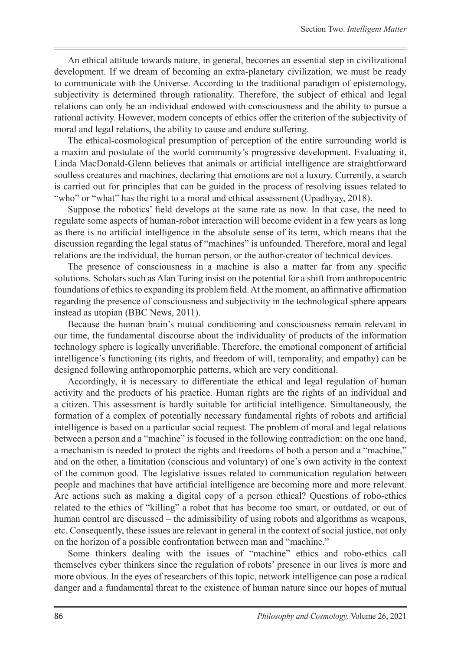An ethical attitude towards nature, in general, becomes an essential step in civilizational development. If we dream of becoming an extra-planetary civilization, we must be ready to communicate with the Universe. According to the traditional paradigm of epistemology, subjectivity is determined through rationality. Therefore, the subject of ethical and legal relations can only be an individual endowed with consciousness and the ability to pursue a rational activity. However, modern concepts of ethics offer the criterion of the subjectivity of moral and legal relations, the ability to cause and endure suffering.

The ethical-cosmological presumption of perception of the entire surrounding world is a maxim and postulate of the world community's progressive development. Evaluating it, Linda MacDonald-Glenn believes that animals or artificial intelligence are straightforward soulless creatures and machines, declaring that emotions are not a luxury. Currently, a search is carried out for principles that can be guided in the process of resolving issues related to "who" or "what" has the right to a moral and ethical assessment (Upadhyay, 2018).

Suppose the robotics' field develops at the same rate as now. In that case, the need to regulate some aspects of human-robot interaction will become evident in a few years as long as there is no artificial intelligence in the absolute sense of its term, which means that the discussion regarding the legal status of "machines" is unfounded. Therefore, moral and legal relations are the individual, the human person, or the author-creator of technical devices.

The presence of consciousness in a machine is also a matter far from any specific solutions. Scholars such as Alan Turing insist on the potential for a shift from anthropocentric foundations of ethics to expanding its problem field. At the moment, an affirmative affirmation regarding the presence of consciousness and subjectivity in the technological sphere appears instead as utopian (BBC News, 2011).

Because the human brain's mutual conditioning and consciousness remain relevant in our time, the fundamental discourse about the individuality of products of the information technology sphere is logically unverifiable. Therefore, the emotional component of artificial intelligence's functioning (its rights, and freedom of will, temporality, and empathy) can be designed following anthropomorphic patterns, which are very conditional.

Accordingly, it is necessary to differentiate the ethical and legal regulation of human activity and the products of his practice. Human rights are the rights of an individual and a citizen. This assessment is hardly suitable for artificial intelligence. Simultaneously, the formation of a complex of potentially necessary fundamental rights of robots and artificial intelligence is based on a particular social request. The problem of moral and legal relations between a person and a "machine" is focused in the following contradiction: on the one hand, a mechanism is needed to protect the rights and freedoms of both a person and a "machine," and on the other, a limitation (conscious and voluntary) of one's own activity in the context of the common good. The legislative issues related to communication regulation between people and machines that have artificial intelligence are becoming more and more relevant. Are actions such as making a digital copy of a person ethical? Questions of robo-ethics related to the ethics of "killing" a robot that has become too smart, or outdated, or out of human control are discussed – the admissibility of using robots and algorithms as weapons, etc. Consequently, these issues are relevant in general in the context of social justice, not only on the horizon of a possible confrontation between man and "machine."

Some thinkers dealing with the issues of "machine" ethics and robo-ethics call themselves cyber thinkers since the regulation of robots' presence in our lives is more and more obvious. In the eyes of researchers of this topic, network intelligence can pose a radical danger and a fundamental threat to the existence of human nature since our hopes of mutual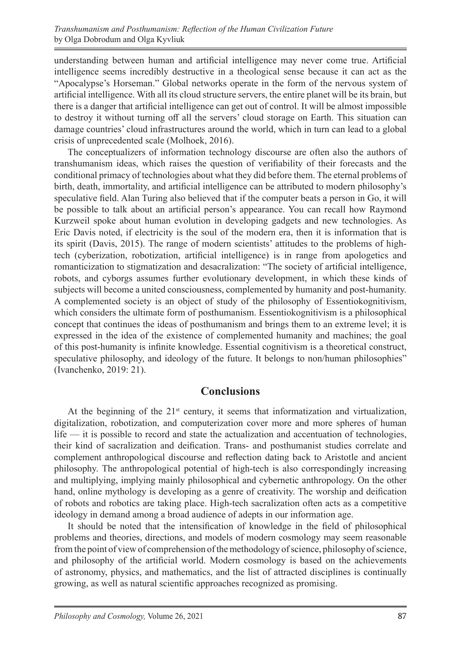understanding between human and artificial intelligence may never come true. Artificial intelligence seems incredibly destructive in a theological sense because it can act as the "Apocalypse's Horseman." Global networks operate in the form of the nervous system of artificial intelligence. With all its cloud structure servers, the entire planet will be its brain, but there is a danger that artificial intelligence can get out of control. It will be almost impossible to destroy it without turning off all the servers' cloud storage on Earth. This situation can damage countries' cloud infrastructures around the world, which in turn can lead to a global crisis of unprecedented scale (Molhoek, 2016).

The conceptualizers of information technology discourse are often also the authors of transhumanism ideas, which raises the question of verifiability of their forecasts and the conditional primacy of technologies about what they did before them. The eternal problems of birth, death, immortality, and artificial intelligence can be attributed to modern philosophy's speculative field. Alan Turing also believed that if the computer beats a person in Go, it will be possible to talk about an artificial person's appearance. You can recall how Raymond Kurzweil spoke about human evolution in developing gadgets and new technologies. As Eric Davis noted, if electricity is the soul of the modern era, then it is information that is its spirit (Dаvis, 2015). The range of modern scientists' attitudes to the problems of hightech (cyberization, robotization, artificial intelligence) is in range from apologetics and romanticization to stigmatization and desacralization: "The society of artificial intelligence, robots, and cyborgs assumes further evolutionary development, in which these kinds of subjects will become a united consciousness, complemented by humanity and post-humanity. A complemented society is an object of study of the philosophy of Essentiokognitivism, which considers the ultimate form of posthumanism. Essentiokognitivism is a philosophical concept that continues the ideas of posthumanism and brings them to an extreme level; it is expressed in the idea of the existence of complemented humanity and machines; the goal of this post-humanity is infinite knowledge. Essential cognitivism is a theoretical construct, speculative philosophy, and ideology of the future. It belongs to non/human philosophies" (Ivanchenko, 2019: 21).

## **Conclusions**

At the beginning of the  $21<sup>st</sup>$  century, it seems that informatization and virtualization, digitalization, robotization, and computerization cover more and more spheres of human life — it is possible to record and state the actualization and accentuation of technologies, their kind of sacralization and deification. Trans- and posthumanist studies correlate and complement anthropological discourse and reflection dating back to Aristotle and ancient philosophy. The anthropological potential of high-tech is also correspondingly increasing and multiplying, implying mainly philosophical and cybernetic anthropology. On the other hand, online mythology is developing as a genre of creativity. The worship and deification of robots and robotics are taking place. High-tech sacralization often acts as a competitive ideology in demand among a broad audience of adepts in our information age.

It should be noted that the intensification of knowledge in the field of philosophical problems and theories, directions, and models of modern cosmology may seem reasonable from the point of view of comprehension of the methodology of science, philosophy of science, and philosophy of the artificial world. Modern cosmology is based on the achievements of astronomy, physics, and mathematics, and the list of attracted disciplines is continually growing, as well as natural scientific approaches recognized as promising.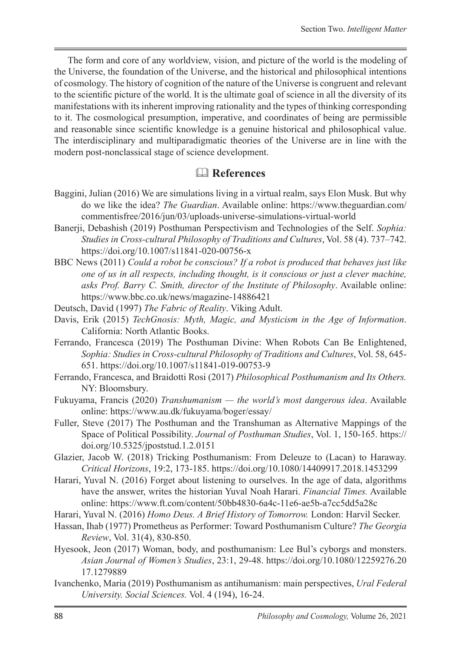The form and core of any worldview, vision, and picture of the world is the modeling of the Universe, the foundation of the Universe, and the historical and philosophical intentions of cosmology. The history of cognition of the nature of the Universe is congruent and relevant to the scientific picture of the world. It is the ultimate goal of science in all the diversity of its manifestations with its inherent improving rationality and the types of thinking corresponding to it. The cosmological presumption, imperative, and coordinates of being are permissible and reasonable since scientific knowledge is a genuine historical and philosophical value. The interdisciplinary and multiparadigmatic theories of the Universe are in line with the modern post-nonclassical stage of science development.

# **References**

- Baggini, Julian (2016) We are simulations living in a virtual realm, says Elon Musk. But why do we like the idea? *The Guardian*. Available online: https://www.theguardian.com/ commentisfree/2016/jun/03/uploads-universe-simulations-virtual-world
- Banerji, Debashish (2019) Posthuman Perspectivism and Technologies of the Self. *Sophia: Studies in Cross-cultural Philosophy of Traditions and Cultures*, Vol. 58 (4). 737–742. https://doi.org/10.1007/s11841-020-00756-x
- BBC News (2011) *Could a robot be conscious? If a robot is produced that behaves just like one of us in all respects, including thought, is it conscious or just a clever machine, asks Prof. Barry C. Smith, director of the Institute of Philosophy*. Available online: https://www.bbc.co.uk/news/magazine-14886421
- Deutsch, David (1997) *The Fabric of Reality*. Viking Adult.
- Dаvis, Erik (2015) *TechGnosis: Myth, Magic, and Mysticism in the Age of Information*. California: North Atlantic Books.
- Ferrando, Francesca (2019) The Posthuman Divine: When Robots Can Be Enlightened, *Sophia: Studies in Cross-cultural Philosophy of Traditions and Cultures*, Vol. 58, 645- 651. https://doi.org/10.1007/s11841-019-00753-9
- Ferrando, Francesca, and Braidotti Rosi (2017) *Philosophical Posthumanism and Its Others.* NY: Bloomsbury.
- Fukuyama, Francis (2020) *Transhumanism the world's most dangerous idea*. Available online: https://www.au.dk/fukuyama/boger/essay/
- Fuller, Steve (2017) The Posthuman and the Transhuman as Alternative Mappings of the Space of Political Possibility. *Journal of Posthuman Studies*, Vol. 1, 150-165. https:// doi.org/10.5325/jpoststud.1.2.0151
- Glazier, Jacob W. (2018) Tricking Posthumanism: From Deleuze to (Lacan) to Haraway. *Critical Horizons*, 19:2, 173-185. https://doi.org/10.1080/14409917.2018.1453299
- Harari, Yuval N. (2016) Forget about listening to ourselves. In the age of data, algorithms have the answer, writes the historian Yuval Noah Harari. *Financial Times.* Available online: https://www.ft.com/content/50bb4830-6a4c-11e6-ae5b-a7cc5dd5a28c
- Harari, Yuval N. (2016) *Homo Deus. A Brief History of Tomorrow.* London: Harvil Secker.
- Hassan, Ihab (1977) Prometheus as Performer: Toward Posthumanism Culture? *The Georgia Review*, Vol. 31(4), 830-850.
- Hyesook, Jeon (2017) Woman, body, and posthumanism: Lee Bul's cyborgs and monsters. *Asian Journal of Women's Studies*, 23:1, 29-48. https://doi.org/10.1080/12259276.20 17.1279889
- Ivanchenko, Maria (2019) Posthumanism as antihumanism: main perspectives, *Ural Federal University. Social Sciences.* Vol. 4 (194), 16-24.